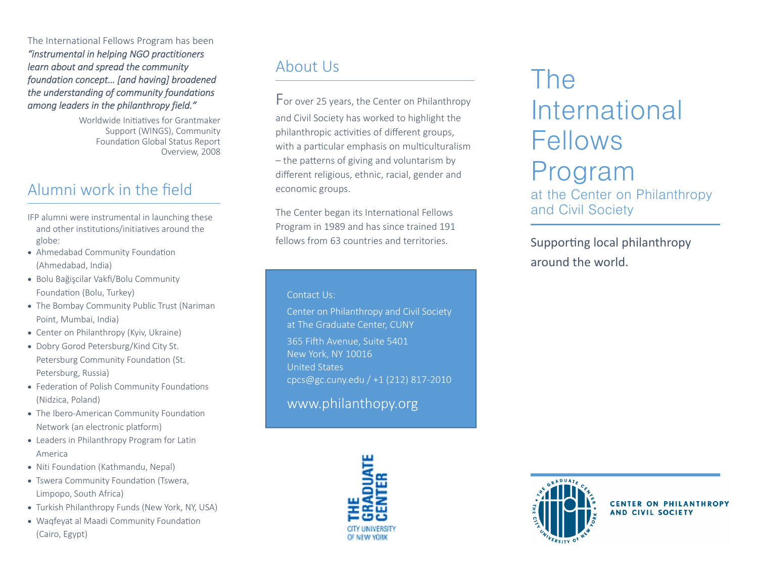The International Fellows Program has been *"instrumental in helping NGO practitioners learn about and spread the community foundation concept… [and having] broadened the understanding of community foundations among leaders in the philanthropy field."*

> Worldwide Initiatives for Grantmaker Support (WINGS), Community FoundaƟon Global Status Report Overview, 2008

## Alumni work in the field

- IFP alumni were instrumental in launching these and other institutions/initiatives around the globe:
- Ahmedabad Community Foundation (Ahmedabad, India)
- Bolu Bağişcilar Vakfi/Bolu Community Founda Ɵon (Bolu, Turkey)
- The Bombay Community Public Trust (Nariman Point, Mumbai, India)
- Center on Philanthropy (Kyiv, Ukraine)
- Dobry Gorod Petersburg/Kind City St. Petersburg Community Foundation (St. Petersburg, Russia)
- Federation of Polish Community Foundations (Nidzica, Poland)
- The Ibero-American Community Foundation Network (an electronic platform)
- Leaders in Philanthropy Program for Latin America
- Niti Foundation (Kathmandu, Nepal)
- Tswera Community Foundation (Tswera, Limpopo, South Africa)
- Turkish Philanthropy Funds (New York, NY, USA)
- Waqfeyat al Maadi Community Foundation (Cairo, Egypt)

# About Us

For over 25 years, the Center on Philanthropy and Civil Society has worked to highlight the philanthropic activities of different groups, with a particular emphasis on multiculturalism – the patterns of giving and voluntarism by di fferent religious, ethnic, racial, gender and economic groups.

The Center began its International Fellows Program in 1989 and has since trained 191 fellows from 63 countries and territories.

#### Contact Us:

Center on Philanthropy and Civil Society at The Graduate Center, CUNY

365 Fi Ōh Avenue, Suite 5401 New York, NY 10016 United States cpcs@gc.cuny.edu / +1 (212) 817-2010

www.philanthopy.org



# The International Fellows Program at the Center on Philanthropy and Civil Society

Supporting local philanthropy around the world.



**CENTER ON PHILANTHROPY AND CIVIL SOCIETY**